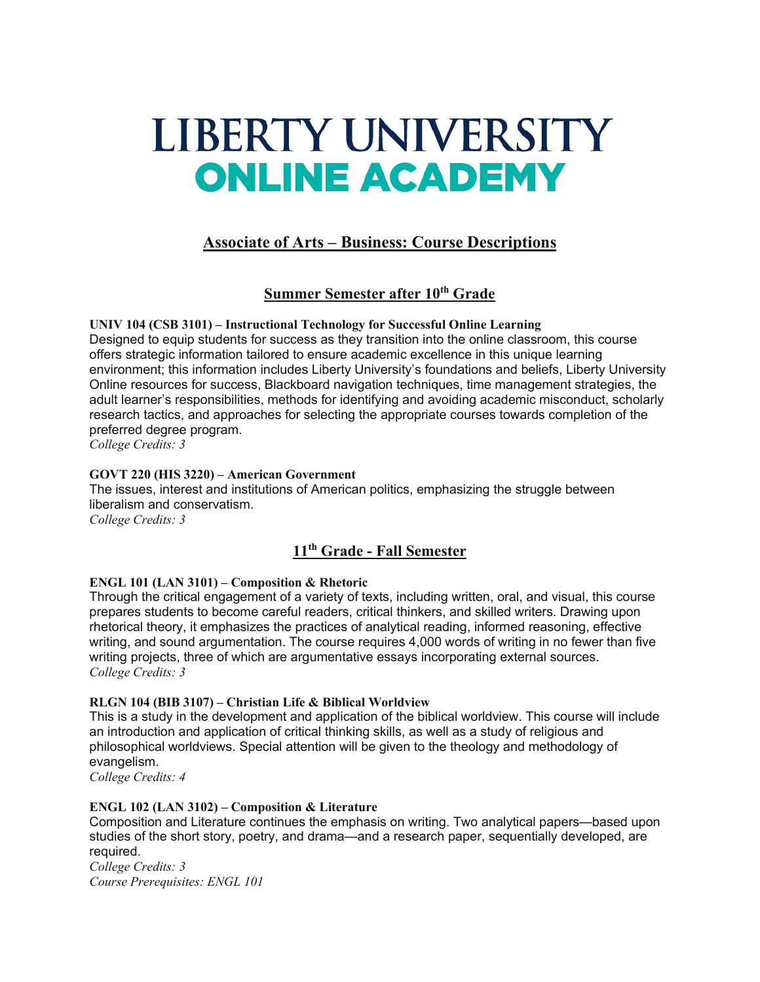# LIBERTY UNIVERSITY **ONLINE ACADEMY**

# **Associate of Arts – Business: Course Descriptions**

# **Summer Semester after 10th Grade**

**UNIV 104 (CSB 3101) – Instructional Technology for Successful Online Learning** Designed to equip students for success as they transition into the online classroom, this course offers strategic information tailored to ensure academic excellence in this unique learning environment; this information includes Liberty University's foundations and beliefs, Liberty University Online resources for success, Blackboard navigation techniques, time management strategies, the adult learner's responsibilities, methods for identifying and avoiding academic misconduct, scholarly research tactics, and approaches for selecting the appropriate courses towards completion of the preferred degree program.

*College Credits: 3*

# **GOVT 220 (HIS 3220) – American Government**

The issues, interest and institutions of American politics, emphasizing the struggle between liberalism and conservatism. *College Credits: 3*

# **11th Grade - Fall Semester**

# **ENGL 101 (LAN 3101) – Composition & Rhetoric**

Through the critical engagement of a variety of texts, including written, oral, and visual, this course prepares students to become careful readers, critical thinkers, and skilled writers. Drawing upon rhetorical theory, it emphasizes the practices of analytical reading, informed reasoning, effective writing, and sound argumentation. The course requires 4,000 words of writing in no fewer than five writing projects, three of which are argumentative essays incorporating external sources. *College Credits: 3*

# **RLGN 104 (BIB 3107) – Christian Life & Biblical Worldview**

This is a study in the development and application of the biblical worldview. This course will include an introduction and application of critical thinking skills, as well as a study of religious and philosophical worldviews. Special attention will be given to the theology and methodology of evangelism.

*College Credits: 4*

# **ENGL 102 (LAN 3102) – Composition & Literature**

Composition and Literature continues the emphasis on writing. Two analytical papers—based upon studies of the short story, poetry, and drama—and a research paper, sequentially developed, are required.

*College Credits: 3 Course Prerequisites: ENGL 101*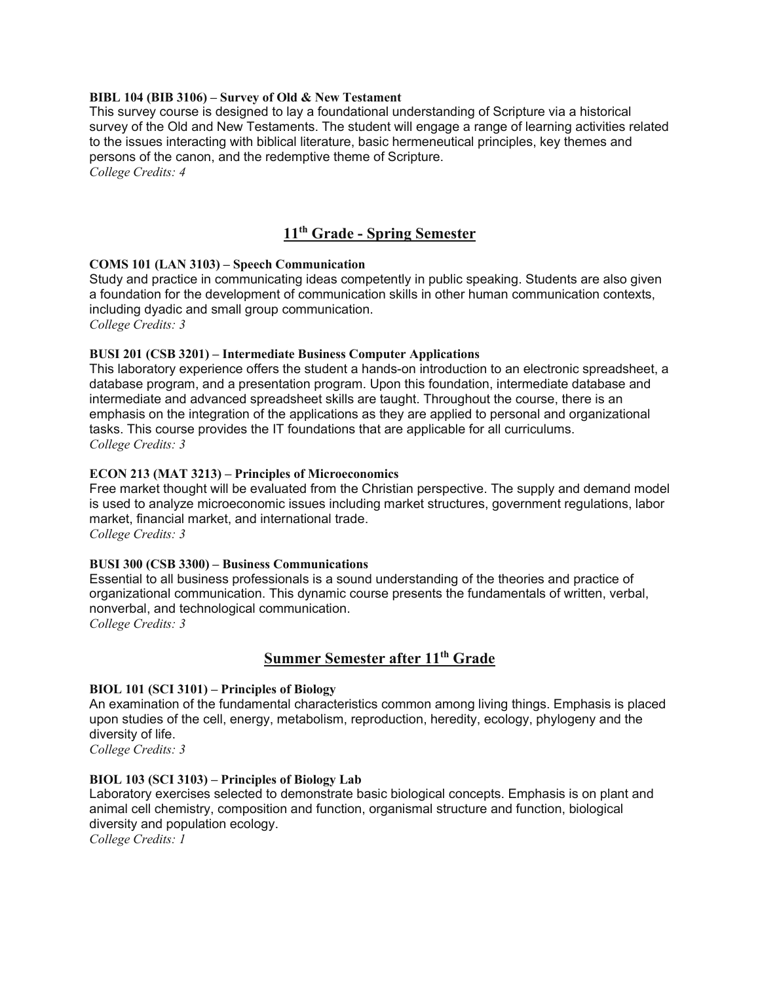#### **BIBL 104 (BIB 3106) – Survey of Old & New Testament**

This survey course is designed to lay a foundational understanding of Scripture via a historical survey of the Old and New Testaments. The student will engage a range of learning activities related to the issues interacting with biblical literature, basic hermeneutical principles, key themes and persons of the canon, and the redemptive theme of Scripture.

*College Credits: 4*

# **11th Grade - Spring Semester**

## **COMS 101 (LAN 3103) – Speech Communication**

Study and practice in communicating ideas competently in public speaking. Students are also given a foundation for the development of communication skills in other human communication contexts, including dyadic and small group communication.

*College Credits: 3*

# **BUSI 201 (CSB 3201) – Intermediate Business Computer Applications**

This laboratory experience offers the student a hands-on introduction to an electronic spreadsheet, a database program, and a presentation program. Upon this foundation, intermediate database and intermediate and advanced spreadsheet skills are taught. Throughout the course, there is an emphasis on the integration of the applications as they are applied to personal and organizational tasks. This course provides the IT foundations that are applicable for all curriculums. *College Credits: 3*

## **ECON 213 (MAT 3213) – Principles of Microeconomics**

Free market thought will be evaluated from the Christian perspective. The supply and demand model is used to analyze microeconomic issues including market structures, government regulations, labor market, financial market, and international trade. *College Credits: 3*

#### **BUSI 300 (CSB 3300) – Business Communications**

Essential to all business professionals is a sound understanding of the theories and practice of organizational communication. This dynamic course presents the fundamentals of written, verbal, nonverbal, and technological communication. *College Credits: 3*

# **Summer Semester after 11th Grade**

# **BIOL 101 (SCI 3101) – Principles of Biology**

An examination of the fundamental characteristics common among living things. Emphasis is placed upon studies of the cell, energy, metabolism, reproduction, heredity, ecology, phylogeny and the diversity of life.

*College Credits: 3*

#### **BIOL 103 (SCI 3103) – Principles of Biology Lab**

Laboratory exercises selected to demonstrate basic biological concepts. Emphasis is on plant and animal cell chemistry, composition and function, organismal structure and function, biological diversity and population ecology.

*College Credits: 1*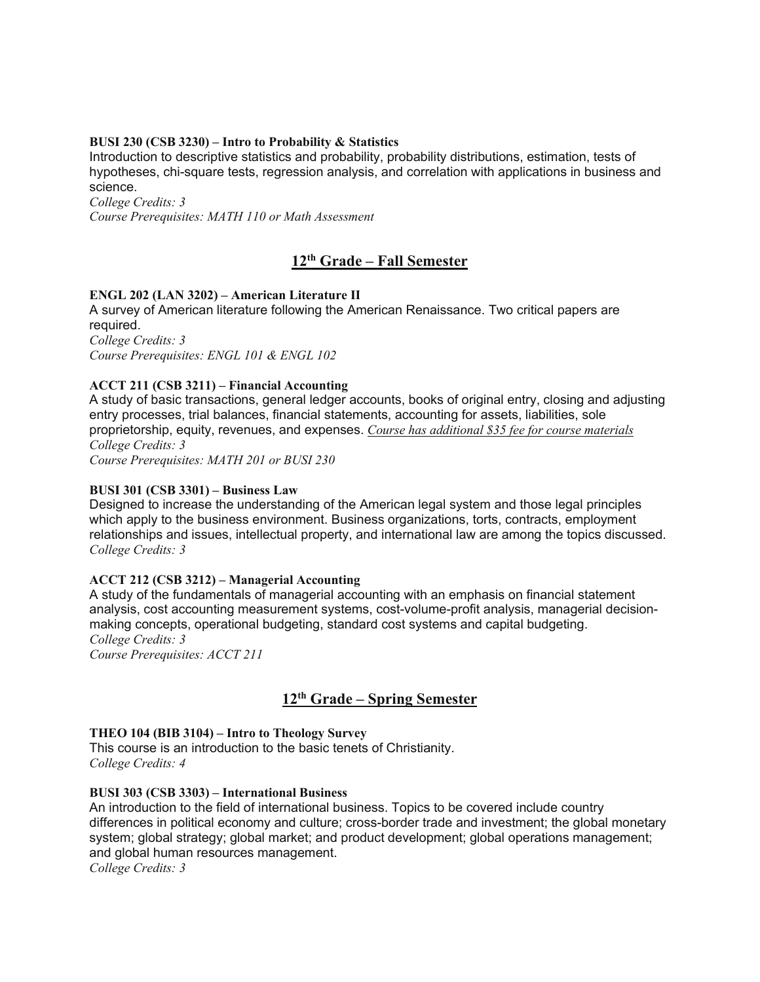## **BUSI 230 (CSB 3230) – Intro to Probability & Statistics**

Introduction to descriptive statistics and probability, probability distributions, estimation, tests of hypotheses, chi-square tests, regression analysis, and correlation with applications in business and science.

*College Credits: 3*

*Course Prerequisites: MATH 110 or Math Assessment*

# **12th Grade – Fall Semester**

## **ENGL 202 (LAN 3202) – American Literature II**

A survey of American literature following the American Renaissance. Two critical papers are required. *College Credits: 3*

*Course Prerequisites: ENGL 101 & ENGL 102*

## **ACCT 211 (CSB 3211) – Financial Accounting**

A study of basic transactions, general ledger accounts, books of original entry, closing and adjusting entry processes, trial balances, financial statements, accounting for assets, liabilities, sole proprietorship, equity, revenues, and expenses. *Course has additional \$35 fee for course materials College Credits: 3*

*Course Prerequisites: MATH 201 or BUSI 230*

#### **BUSI 301 (CSB 3301) – Business Law**

Designed to increase the understanding of the American legal system and those legal principles which apply to the business environment. Business organizations, torts, contracts, employment relationships and issues, intellectual property, and international law are among the topics discussed. *College Credits: 3*

#### **ACCT 212 (CSB 3212) – Managerial Accounting**

A study of the fundamentals of managerial accounting with an emphasis on financial statement analysis, cost accounting measurement systems, cost-volume-profit analysis, managerial decisionmaking concepts, operational budgeting, standard cost systems and capital budgeting. *College Credits: 3*

*Course Prerequisites: ACCT 211*

# **12th Grade – Spring Semester**

#### **THEO 104 (BIB 3104) – Intro to Theology Survey**

This course is an introduction to the basic tenets of Christianity. *College Credits: 4*

#### **BUSI 303 (CSB 3303) – International Business**

An introduction to the field of international business. Topics to be covered include country differences in political economy and culture; cross-border trade and investment; the global monetary system; global strategy; global market; and product development; global operations management; and global human resources management. *College Credits: 3*